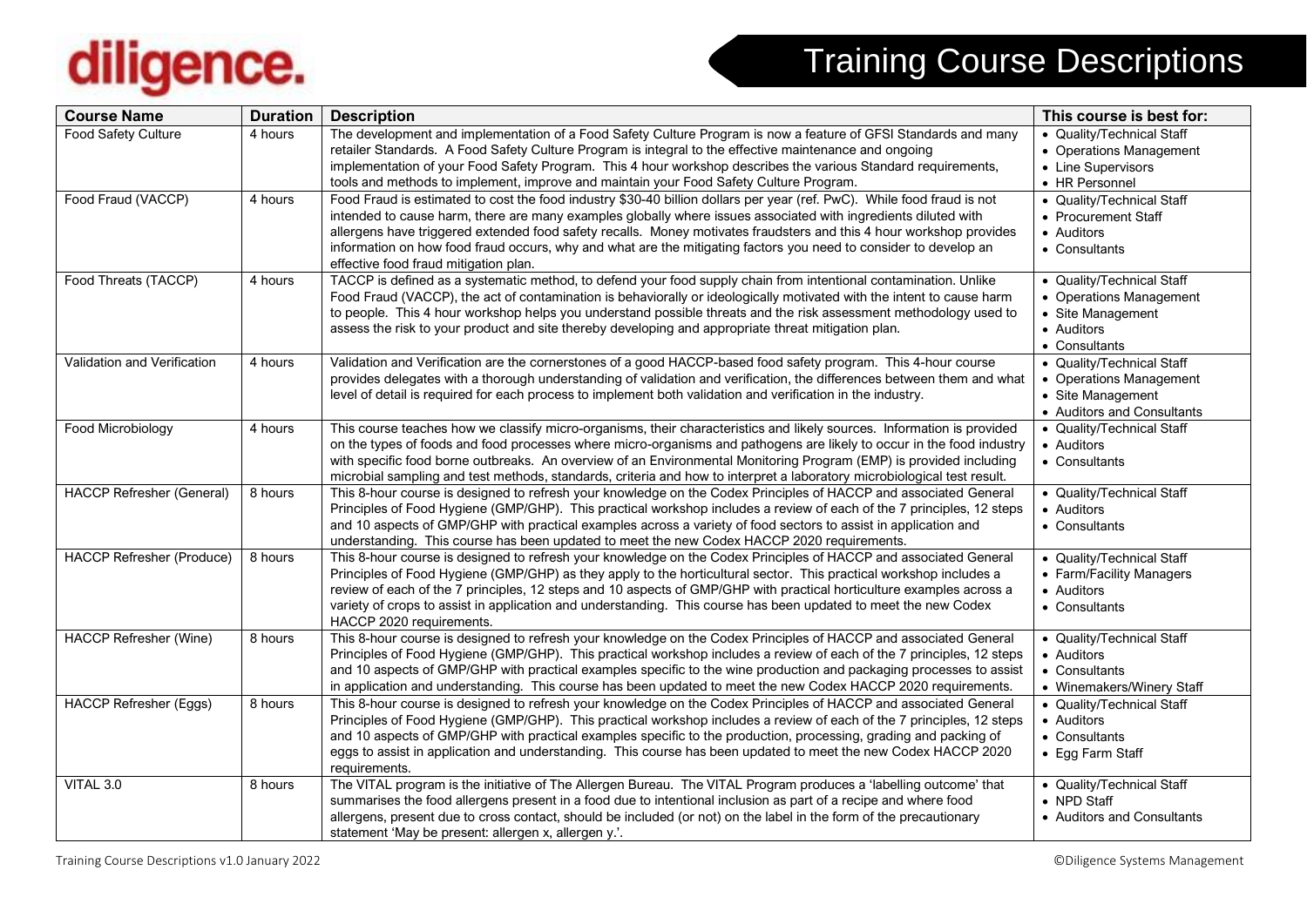## diligence.

## Training Course Descriptions

| <b>Course Name</b>               | <b>Duration</b> | <b>Description</b>                                                                                                                                                                                                                                                                                                                                                                                                                                                                                                           | This course is best for:                                                                                 |
|----------------------------------|-----------------|------------------------------------------------------------------------------------------------------------------------------------------------------------------------------------------------------------------------------------------------------------------------------------------------------------------------------------------------------------------------------------------------------------------------------------------------------------------------------------------------------------------------------|----------------------------------------------------------------------------------------------------------|
| Food Safety Culture              | 4 hours         | The development and implementation of a Food Safety Culture Program is now a feature of GFSI Standards and many<br>retailer Standards. A Food Safety Culture Program is integral to the effective maintenance and ongoing<br>implementation of your Food Safety Program. This 4 hour workshop describes the various Standard requirements,<br>tools and methods to implement, improve and maintain your Food Safety Culture Program.                                                                                         | • Quality/Technical Staff<br>• Operations Management<br>• Line Supervisors<br>• HR Personnel             |
| Food Fraud (VACCP)               | 4 hours         | Food Fraud is estimated to cost the food industry \$30-40 billion dollars per year (ref. PwC). While food fraud is not<br>intended to cause harm, there are many examples globally where issues associated with ingredients diluted with<br>allergens have triggered extended food safety recalls. Money motivates fraudsters and this 4 hour workshop provides<br>information on how food fraud occurs, why and what are the mitigating factors you need to consider to develop an<br>effective food fraud mitigation plan. | • Quality/Technical Staff<br>• Procurement Staff<br>• Auditors<br>• Consultants                          |
| Food Threats (TACCP)             | 4 hours         | TACCP is defined as a systematic method, to defend your food supply chain from intentional contamination. Unlike<br>Food Fraud (VACCP), the act of contamination is behaviorally or ideologically motivated with the intent to cause harm<br>to people. This 4 hour workshop helps you understand possible threats and the risk assessment methodology used to<br>assess the risk to your product and site thereby developing and appropriate threat mitigation plan.                                                        | • Quality/Technical Staff<br>• Operations Management<br>• Site Management<br>• Auditors<br>• Consultants |
| Validation and Verification      | 4 hours         | Validation and Verification are the cornerstones of a good HACCP-based food safety program. This 4-hour course<br>provides delegates with a thorough understanding of validation and verification, the differences between them and what<br>level of detail is required for each process to implement both validation and verification in the industry.                                                                                                                                                                      | • Quality/Technical Staff<br>• Operations Management<br>• Site Management<br>• Auditors and Consultants  |
| Food Microbiology                | 4 hours         | This course teaches how we classify micro-organisms, their characteristics and likely sources. Information is provided<br>on the types of foods and food processes where micro-organisms and pathogens are likely to occur in the food industry<br>with specific food borne outbreaks. An overview of an Environmental Monitoring Program (EMP) is provided including<br>microbial sampling and test methods, standards, criteria and how to interpret a laboratory microbiological test result.                             | • Quality/Technical Staff<br>• Auditors<br>• Consultants                                                 |
| <b>HACCP Refresher (General)</b> | 8 hours         | This 8-hour course is designed to refresh your knowledge on the Codex Principles of HACCP and associated General<br>Principles of Food Hygiene (GMP/GHP). This practical workshop includes a review of each of the 7 principles, 12 steps<br>and 10 aspects of GMP/GHP with practical examples across a variety of food sectors to assist in application and<br>understanding. This course has been updated to meet the new Codex HACCP 2020 requirements.                                                                   | • Quality/Technical Staff<br>• Auditors<br>• Consultants                                                 |
| <b>HACCP Refresher (Produce)</b> | 8 hours         | This 8-hour course is designed to refresh your knowledge on the Codex Principles of HACCP and associated General<br>Principles of Food Hygiene (GMP/GHP) as they apply to the horticultural sector. This practical workshop includes a<br>review of each of the 7 principles, 12 steps and 10 aspects of GMP/GHP with practical horticulture examples across a<br>variety of crops to assist in application and understanding. This course has been updated to meet the new Codex<br>HACCP 2020 requirements.                | • Quality/Technical Staff<br>• Farm/Facility Managers<br>• Auditors<br>• Consultants                     |
| <b>HACCP Refresher (Wine)</b>    | 8 hours         | This 8-hour course is designed to refresh your knowledge on the Codex Principles of HACCP and associated General<br>Principles of Food Hygiene (GMP/GHP). This practical workshop includes a review of each of the 7 principles, 12 steps<br>and 10 aspects of GMP/GHP with practical examples specific to the wine production and packaging processes to assist<br>in application and understanding. This course has been updated to meet the new Codex HACCP 2020 requirements.                                            | • Quality/Technical Staff<br>• Auditors<br>• Consultants<br>• Winemakers/Winery Staff                    |
| <b>HACCP Refresher (Eggs)</b>    | 8 hours         | This 8-hour course is designed to refresh your knowledge on the Codex Principles of HACCP and associated General<br>Principles of Food Hygiene (GMP/GHP). This practical workshop includes a review of each of the 7 principles, 12 steps<br>and 10 aspects of GMP/GHP with practical examples specific to the production, processing, grading and packing of<br>eggs to assist in application and understanding. This course has been updated to meet the new Codex HACCP 2020<br>requirements.                             | • Quality/Technical Staff<br>• Auditors<br>• Consultants<br>• Egg Farm Staff                             |
| VITAL 3.0                        | 8 hours         | The VITAL program is the initiative of The Allergen Bureau. The VITAL Program produces a 'labelling outcome' that<br>summarises the food allergens present in a food due to intentional inclusion as part of a recipe and where food<br>allergens, present due to cross contact, should be included (or not) on the label in the form of the precautionary<br>statement 'May be present: allergen x, allergen y.'.                                                                                                           | • Quality/Technical Staff<br>• NPD Staff<br>• Auditors and Consultants                                   |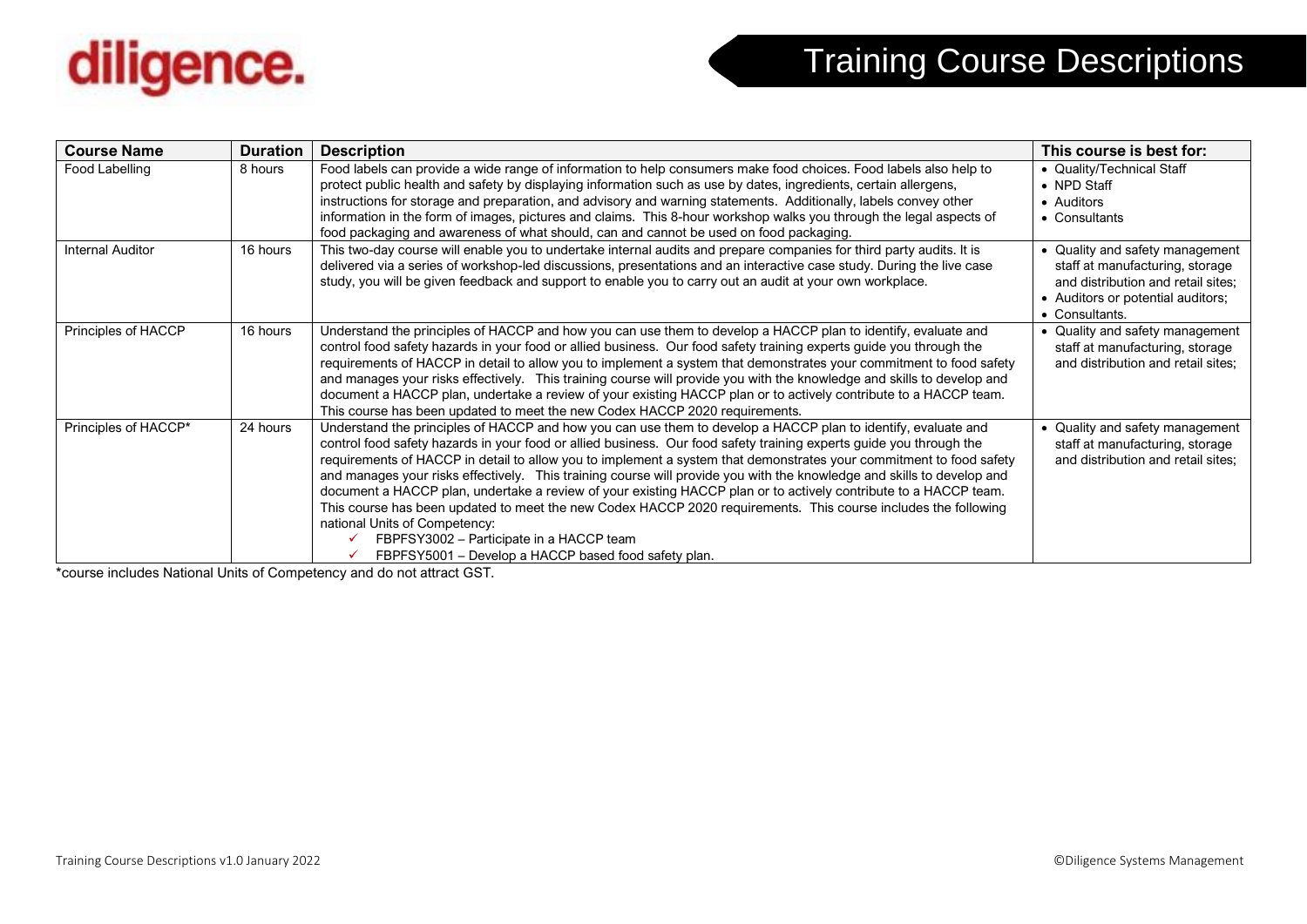

| <b>Course Name</b>      | <b>Duration</b> | <b>Description</b>                                                                                                                                                                                                                                                                                                                                                                                                                                                                                                                                                                                                                                                                                                                                                                                                                                                    | This course is best for:                                                                                                                                        |
|-------------------------|-----------------|-----------------------------------------------------------------------------------------------------------------------------------------------------------------------------------------------------------------------------------------------------------------------------------------------------------------------------------------------------------------------------------------------------------------------------------------------------------------------------------------------------------------------------------------------------------------------------------------------------------------------------------------------------------------------------------------------------------------------------------------------------------------------------------------------------------------------------------------------------------------------|-----------------------------------------------------------------------------------------------------------------------------------------------------------------|
| Food Labelling          | 8 hours         | Food labels can provide a wide range of information to help consumers make food choices. Food labels also help to<br>protect public health and safety by displaying information such as use by dates, ingredients, certain allergens,<br>instructions for storage and preparation, and advisory and warning statements. Additionally, labels convey other<br>information in the form of images, pictures and claims. This 8-hour workshop walks you through the legal aspects of<br>food packaging and awareness of what should, can and cannot be used on food packaging.                                                                                                                                                                                                                                                                                            | • Quality/Technical Staff<br>• NPD Staff<br>• Auditors<br>• Consultants                                                                                         |
| <b>Internal Auditor</b> | 16 hours        | This two-day course will enable you to undertake internal audits and prepare companies for third party audits. It is<br>delivered via a series of workshop-led discussions, presentations and an interactive case study. During the live case<br>study, you will be given feedback and support to enable you to carry out an audit at your own workplace.                                                                                                                                                                                                                                                                                                                                                                                                                                                                                                             | • Quality and safety management<br>staff at manufacturing, storage<br>and distribution and retail sites;<br>• Auditors or potential auditors;<br>• Consultants. |
| Principles of HACCP     | 16 hours        | Understand the principles of HACCP and how you can use them to develop a HACCP plan to identify, evaluate and<br>control food safety hazards in your food or allied business. Our food safety training experts guide you through the<br>requirements of HACCP in detail to allow you to implement a system that demonstrates your commitment to food safety<br>and manages your risks effectively. This training course will provide you with the knowledge and skills to develop and<br>document a HACCP plan, undertake a review of your existing HACCP plan or to actively contribute to a HACCP team.<br>This course has been updated to meet the new Codex HACCP 2020 requirements.                                                                                                                                                                              | • Quality and safety management<br>staff at manufacturing, storage<br>and distribution and retail sites;                                                        |
| Principles of HACCP*    | 24 hours        | Understand the principles of HACCP and how you can use them to develop a HACCP plan to identify, evaluate and<br>control food safety hazards in your food or allied business. Our food safety training experts guide you through the<br>requirements of HACCP in detail to allow you to implement a system that demonstrates your commitment to food safety<br>and manages your risks effectively. This training course will provide you with the knowledge and skills to develop and<br>document a HACCP plan, undertake a review of your existing HACCP plan or to actively contribute to a HACCP team.<br>This course has been updated to meet the new Codex HACCP 2020 requirements. This course includes the following<br>national Units of Competency:<br>FBPFSY3002 - Participate in a HACCP team<br>√<br>FBPFSY5001 - Develop a HACCP based food safety plan. | • Quality and safety management<br>staff at manufacturing, storage<br>and distribution and retail sites;                                                        |

\*course includes National Units of Competency and do not attract GST.